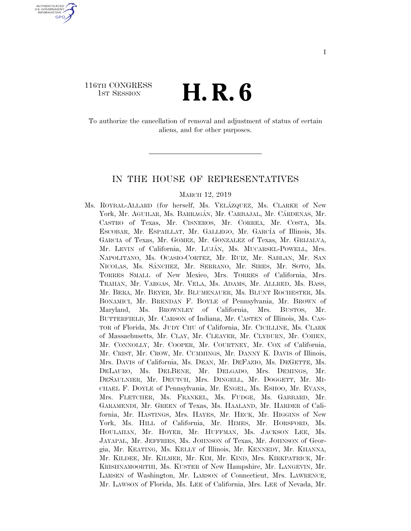# 116TH CONGRESS

U.S. GOVERNMENT **GPO** 

<sup>TH CONGRESS</sup> **H. R. 6** 

To authorize the cancellation of removal and adjustment of status of certain aliens, and for other purposes.

#### IN THE HOUSE OF REPRESENTATIVES

#### MARCH 12, 2019

Ms. ROYBAL-ALLARD (for herself, Ms. VELA´ZQUEZ, Ms. CLARKE of New York, Mr. AGUILAR, Ms. BARRAGÁN, Mr. CARBAJAL, Mr. CÁRDENAS, Mr. CASTRO of Texas, Mr. CISNEROS, Mr. CORREA, Mr. COSTA, Ms. ESCOBAR, Mr. ESPAILLAT, Mr. GALLEGO, Mr. GARCÍA of Illinois, Ms. GARCIA of Texas, Mr. GOMEZ, Mr. GONZALEZ of Texas, Mr. GRIJALVA, Mr. LEVIN of California, Mr. LUJÁN, Ms. MUCARSEL-POWELL, Mrs. NAPOLITANO, Ms. OCASIO-CORTEZ, Mr. RUIZ, Mr. SABLAN, Mr. SAN NICOLAS, Ms. SA´NCHEZ, Mr. SERRANO, Mr. SIRES, Mr. SOTO, Ms. TORRES SMALL of New Mexico, Mrs. TORRES of California, Mrs. TRAHAN, Mr. VARGAS, Mr. VELA, Ms. ADAMS, Mr. ALLRED, Ms. BASS, Mr. BERA, Mr. BEYER, Mr. BLUMENAUER, Ms. BLUNT ROCHESTER, Ms. BONAMICI, Mr. BRENDAN F. BOYLE of Pennsylvania, Mr. BROWN of Maryland, Ms. BROWNLEY of California, Mrs. BUSTOS, Mr. BUTTERFIELD, Mr. CARSON of Indiana, Mr. CASTEN of Illinois, Ms. CAS-TOR of Florida, Ms. JUDY CHU of California, Mr. CICILLINE, Ms. CLARK of Massachusetts, Mr. CLAY, Mr. CLEAVER, Mr. CLYBURN, Mr. COHEN, Mr. CONNOLLY, Mr. COOPER, Mr. COURTNEY, Mr. COX of California, Mr. CRIST, Mr. CROW, Mr. CUMMINGS, Mr. DANNY K. DAVIS of Illinois, Mrs. DAVIS of California, Ms. DEAN, Mr. DEFAZIO, Ms. DEGETTE, Ms. DELAURO, Ms. DELBENE, Mr. DELGADO, Mrs. DEMINGS, Mr. DESAULNIER, Mr. DEUTCH, Mrs. DINGELL, Mr. DOGGETT, Mr. MI-CHAEL F. DOYLE of Pennsylvania, Mr. ENGEL, Ms. ESHOO, Mr. EVANS, Mrs. FLETCHER, Ms. FRANKEL, Ms. FUDGE, Ms. GABBARD, Mr. GARAMENDI, Mr. GREEN of Texas, Ms. HAALAND, Mr. HARDER of California, Mr. HASTINGS, Mrs. HAYES, Mr. HECK, Mr. HIGGINS of New York, Ms. HILL of California, Mr. HIMES, Mr. HORSFORD, Ms. HOULAHAN, Mr. HOYER, Mr. HUFFMAN, Ms. JACKSON LEE, Ms. JAYAPAL, Mr. JEFFRIES, Ms. JOHNSON of Texas, Mr. JOHNSON of Georgia, Mr. KEATING, Ms. KELLY of Illinois, Mr. KENNEDY, Mr. KHANNA, Mr. KILDEE, Mr. KILMER, Mr. KIM, Mr. KIND, Mrs. KIRKPATRICK, Mr. KRISHNAMOORTHI, Ms. KUSTER of New Hampshire, Mr. LANGEVIN, Mr. LARSEN of Washington, Mr. LARSON of Connecticut, Mrs. LAWRENCE, Mr. LAWSON of Florida, Ms. LEE of California, Mrs. LEE of Nevada, Mr.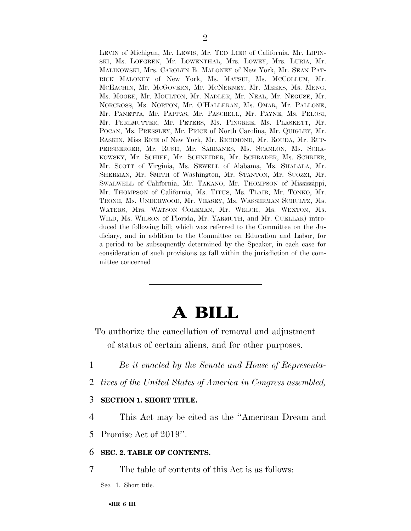LEVIN of Michigan, Mr. LEWIS, Mr. TED LIEU of California, Mr. LIPIN-SKI, Ms. LOFGREN, Mr. LOWENTHAL, Mrs. LOWEY, Mrs. LURIA, Mr. MALINOWSKI, Mrs. CAROLYN B. MALONEY of New York, Mr. SEAN PAT-RICK MALONEY of New York, Ms. MATSUI, Ms. MCCOLLUM, Mr. MCEACHIN, Mr. MCGOVERN, Mr. MCNERNEY, Mr. MEEKS, Ms. MENG, Ms. MOORE, Mr. MOULTON, Mr. NADLER, Mr. NEAL, Mr. NEGUSE, Mr. NORCROSS, Ms. NORTON, Mr. O'HALLERAN, Ms. OMAR, Mr. PALLONE, Mr. PANETTA, Mr. PAPPAS, Mr. PASCRELL, Mr. PAYNE, Ms. PELOSI, Mr. PERLMUTTER, Mr. PETERS, Ms. PINGREE, Ms. PLASKETT, Mr. POCAN, Ms. PRESSLEY, Mr. PRICE of North Carolina, Mr. QUIGLEY, Mr. RASKIN, Miss RICE of New York, Mr. RICHMOND, Mr. ROUDA, Mr. RUP-PERSBERGER, Mr. RUSH, Mr. SARBANES, Ms. SCANLON, Ms. SCHA-KOWSKY, Mr. SCHIFF, Mr. SCHNEIDER, Mr. SCHRADER, Ms. SCHRIER, Mr. SCOTT of Virginia, Ms. SEWELL of Alabama, Ms. SHALALA, Mr. SHERMAN, Mr. SMITH of Washington, Mr. STANTON, Mr. SUOZZI, Mr. SWALWELL of California, Mr. TAKANO, Mr. THOMPSON of Mississippi, Mr. THOMPSON of California, Ms. TITUS, Ms. TLAIB, Mr. TONKO, Mr. TRONE, Ms. UNDERWOOD, Mr. VEASEY, Ms. WASSERMAN SCHULTZ, Ms. WATERS, Mrs. WATSON COLEMAN, Mr. WELCH, Ms. WEXTON, Ms. WILD, Ms. WILSON of Florida, Mr. YARMUTH, and Mr. CUELLAR) introduced the following bill; which was referred to the Committee on the Judiciary, and in addition to the Committee on Education and Labor, for a period to be subsequently determined by the Speaker, in each case for consideration of such provisions as fall within the jurisdiction of the committee concerned

# **A BILL**

To authorize the cancellation of removal and adjustment of status of certain aliens, and for other purposes.

- 1 *Be it enacted by the Senate and House of Representa-*
- 2 *tives of the United States of America in Congress assembled,*

#### 3 **SECTION 1. SHORT TITLE.**

4 This Act may be cited as the ''American Dream and

5 Promise Act of 2019''.

#### 6 **SEC. 2. TABLE OF CONTENTS.**

7 The table of contents of this Act is as follows:

Sec. 1. Short title.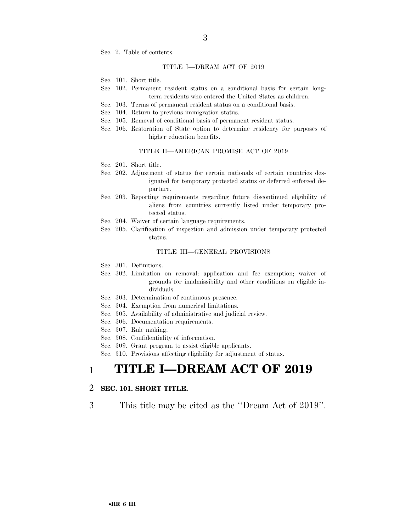Sec. 2. Table of contents.

#### TITLE I—DREAM ACT OF 2019

- Sec. 101. Short title.
- Sec. 102. Permanent resident status on a conditional basis for certain longterm residents who entered the United States as children.
- Sec. 103. Terms of permanent resident status on a conditional basis.
- Sec. 104. Return to previous immigration status.
- Sec. 105. Removal of conditional basis of permanent resident status.
- Sec. 106. Restoration of State option to determine residency for purposes of higher education benefits.

#### TITLE II—AMERICAN PROMISE ACT OF 2019

- Sec. 201. Short title.
- Sec. 202. Adjustment of status for certain nationals of certain countries designated for temporary protected status or deferred enforced departure.
- Sec. 203. Reporting requirements regarding future discontinued eligibility of aliens from countries currently listed under temporary protected status.
- Sec. 204. Waiver of certain language requirements.
- Sec. 205. Clarification of inspection and admission under temporary protected status.

#### TITLE III—GENERAL PROVISIONS

- Sec. 301. Definitions.
- Sec. 302. Limitation on removal; application and fee exemption; waiver of grounds for inadmissibility and other conditions on eligible individuals.
- Sec. 303. Determination of continuous presence.
- Sec. 304. Exemption from numerical limitations.
- Sec. 305. Availability of administrative and judicial review.
- Sec. 306. Documentation requirements.
- Sec. 307. Rule making.
- Sec. 308. Confidentiality of information.
- Sec. 309. Grant program to assist eligible applicants.

Sec. 310. Provisions affecting eligibility for adjustment of status.

### 1 **TITLE I—DREAM ACT OF 2019**

#### 2 **SEC. 101. SHORT TITLE.**

3 This title may be cited as the ''Dream Act of 2019''.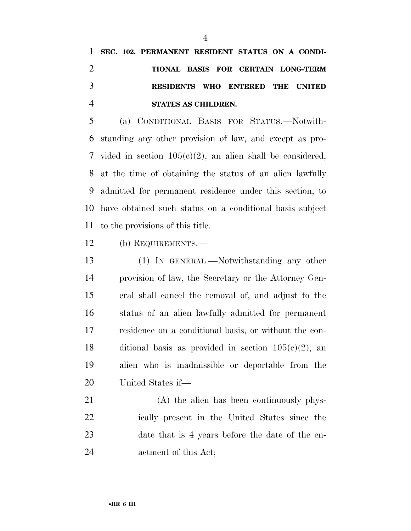**SEC. 102. PERMANENT RESIDENT STATUS ON A CONDI- TIONAL BASIS FOR CERTAIN LONG-TERM RESIDENTS WHO ENTERED THE UNITED STATES AS CHILDREN.** 

 (a) CONDITIONAL BASIS FOR STATUS.—Notwith- standing any other provision of law, and except as pro-7 vided in section  $105(c)(2)$ , an alien shall be considered, at the time of obtaining the status of an alien lawfully admitted for permanent residence under this section, to have obtained such status on a conditional basis subject to the provisions of this title.

(b) REQUIREMENTS.—

 (1) IN GENERAL.—Notwithstanding any other provision of law, the Secretary or the Attorney Gen- eral shall cancel the removal of, and adjust to the status of an alien lawfully admitted for permanent residence on a conditional basis, or without the con-18 ditional basis as provided in section  $105(e)(2)$ , an alien who is inadmissible or deportable from the United States if—

 (A) the alien has been continuously phys- ically present in the United States since the date that is 4 years before the date of the en-actment of this Act;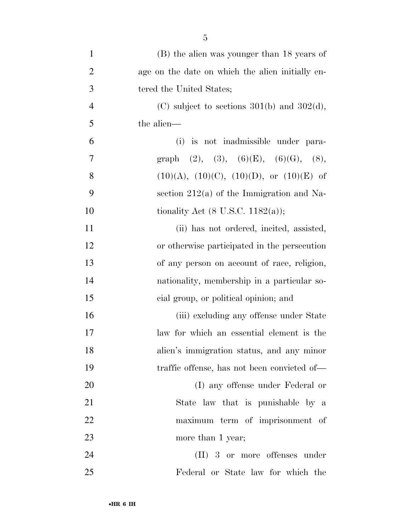| $\mathbf{1}$   | (B) the alien was younger than 18 years of       |
|----------------|--------------------------------------------------|
| $\overline{2}$ | age on the date on which the alien initially en- |
| 3              | tered the United States;                         |
| $\overline{4}$ | (C) subject to sections $301(b)$ and $302(d)$ ,  |
| 5              | the alien—                                       |
| 6              | (i) is not inadmissible under para-              |
| $\tau$         | graph (2), (3), (6)(E), (6)(G), (8),             |
| 8              | $(10)(A), (10)(C), (10)(D), or (10)(E)$ of       |
| 9              | section $212(a)$ of the Immigration and Na-      |
| 10             | tionality Act $(8 \text{ U.S.C. } 1182(a));$     |
| 11             | (ii) has not ordered, incited, assisted,         |
| 12             | or otherwise participated in the persecution     |
| 13             | of any person on account of race, religion,      |
| 14             | nationality, membership in a particular so-      |
| 15             | eial group, or political opinion; and            |
| 16             | (iii) excluding any offense under State          |
| 17             | law for which an essential element is the        |
| 18             | alien's immigration status, and any minor        |
| 19             | traffic offense, has not been convicted of—      |
| 20             | (I) any offense under Federal or                 |
| 21             | State law that is punishable by a                |
| 22             | maximum term of imprisonment of                  |
| 23             | more than 1 year;                                |
| 24             | $(II)$ 3 or more offenses under                  |
| 25             | Federal or State law for which the               |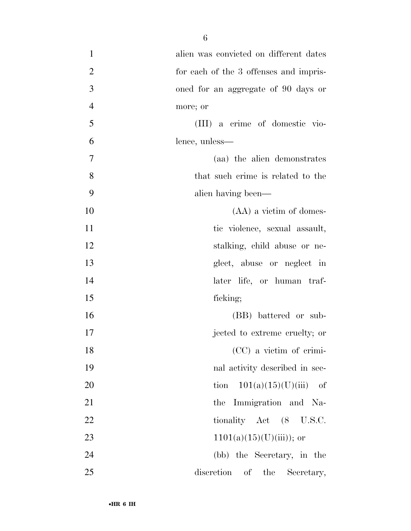| $\mathbf{1}$   | alien was convicted on different dates |
|----------------|----------------------------------------|
| $\overline{2}$ | for each of the 3 offenses and impris- |
| 3              | oned for an aggregate of 90 days or    |
| $\overline{4}$ | more; or                               |
| 5              | (III) a crime of domestic vio-         |
| 6              | lence, unless—                         |
| $\tau$         | (aa) the alien demonstrates            |
| 8              | that such crime is related to the      |
| 9              | alien having been—                     |
| 10             | $(AA)$ a victim of domes-              |
| 11             | tic violence, sexual assault,          |
| 12             | stalking, child abuse or ne-           |
| 13             | glect, abuse or neglect in             |
| 14             | later life, or human traf-             |
| 15             | ficking;                               |
| 16             | (BB) battered or sub-                  |
| 17             | jected to extreme cruelty; or          |
| 18             | (CC) a victim of crimi-                |
| 19             | nal activity described in sec-         |
| 20             | tion $101(a)(15)(U)(iii)$ of           |
| 21             | the Immigration and Na-                |
| 22             | tionality Act (8 U.S.C.                |
| 23             | $1101(a)(15)(U)(iii)$ ; or             |
| 24             | (bb) the Secretary, in the             |
| 25             | discretion of<br>the<br>Secretary,     |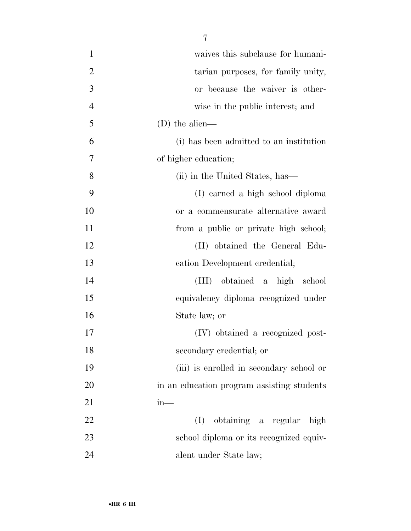| $\mathbf{1}$   | waives this subclause for humani-          |
|----------------|--------------------------------------------|
| $\overline{2}$ | tarian purposes, for family unity,         |
| 3              | or because the waiver is other-            |
| $\overline{4}$ | wise in the public interest; and           |
| 5              | $(D)$ the alien—                           |
| 6              | (i) has been admitted to an institution    |
| 7              | of higher education;                       |
| 8              | (ii) in the United States, has—            |
| 9              | (I) earned a high school diploma           |
| 10             | or a commensurate alternative award        |
| 11             | from a public or private high school;      |
| 12             | (II) obtained the General Edu-             |
| 13             | cation Development credential;             |
| 14             | (III) obtained a high school               |
| 15             | equivalency diploma recognized under       |
| 16             | State law; or                              |
| 17             | (IV) obtained a recognized post-           |
| 18             | secondary credential; or                   |
| 19             | (iii) is enrolled in secondary school or   |
| 20             | in an education program assisting students |
| 21             | $in-$                                      |
| 22             | obtaining a regular high<br>(I)            |
| 23             | school diploma or its recognized equiv-    |
| 24             | alent under State law;                     |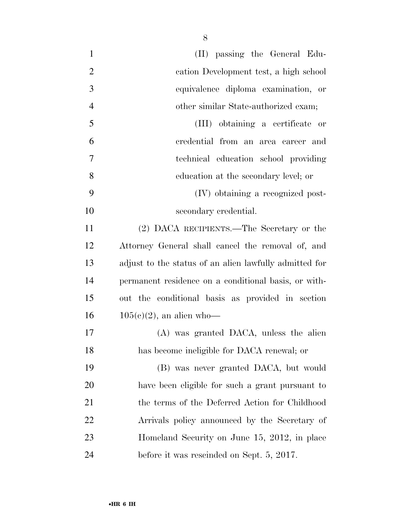| $\mathbf{1}$   | (II) passing the General Edu-                          |
|----------------|--------------------------------------------------------|
| $\overline{2}$ | cation Development test, a high school                 |
| 3              | equivalence diploma examination, or                    |
| $\overline{4}$ | other similar State-authorized exam;                   |
| 5              | (III) obtaining a certificate or                       |
| 6              | credential from an area career and                     |
| 7              | technical education school providing                   |
| 8              | education at the secondary level; or                   |
| 9              | (IV) obtaining a recognized post-                      |
| 10             | secondary credential.                                  |
| 11             | (2) DACA RECIPIENTS.—The Secretary or the              |
| 12             | Attorney General shall cancel the removal of, and      |
| 13             | adjust to the status of an alien lawfully admitted for |
| 14             | permanent residence on a conditional basis, or with-   |
| 15             | out the conditional basis as provided in section       |
| 16             | $105(c)(2)$ , an alien who-                            |
| 17             | (A) was granted DACA, unless the alien                 |
| 18             | has become ineligible for DACA renewal; or             |
| 19             | (B) was never granted DACA, but would                  |
| 20             | have been eligible for such a grant pursuant to        |
| 21             | the terms of the Deferred Action for Childhood         |
| 22             | Arrivals policy announced by the Secretary of          |
| 23             | Homeland Security on June 15, 2012, in place           |
| 24             | before it was rescinded on Sept. 5, 2017.              |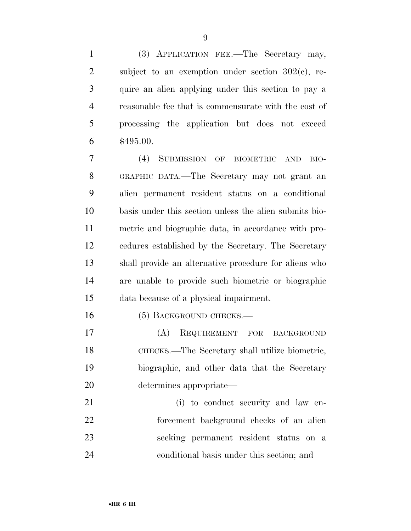(3) APPLICATION FEE.—The Secretary may, 2 subject to an exemption under section  $302(e)$ , re- quire an alien applying under this section to pay a reasonable fee that is commensurate with the cost of processing the application but does not exceed \$495.00.

 (4) SUBMISSION OF BIOMETRIC AND BIO- GRAPHIC DATA.—The Secretary may not grant an alien permanent resident status on a conditional basis under this section unless the alien submits bio- metric and biographic data, in accordance with pro- cedures established by the Secretary. The Secretary shall provide an alternative procedure for aliens who are unable to provide such biometric or biographic data because of a physical impairment.

16 (5) BACKGROUND CHECKS.—

 (A) REQUIREMENT FOR BACKGROUND CHECKS.—The Secretary shall utilize biometric, biographic, and other data that the Secretary determines appropriate—

21 (i) to conduct security and law en- forcement background checks of an alien seeking permanent resident status on a conditional basis under this section; and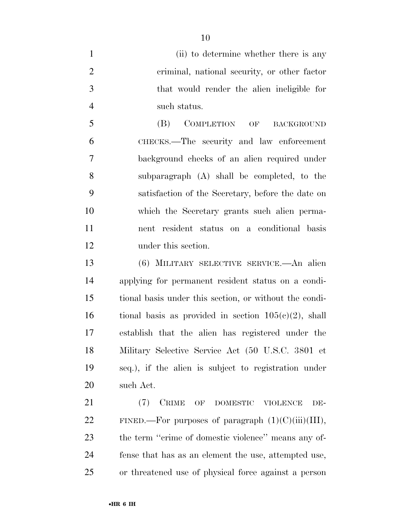(ii) to determine whether there is any criminal, national security, or other factor that would render the alien ineligible for such status.

 (B) COMPLETION OF BACKGROUND CHECKS.—The security and law enforcement background checks of an alien required under subparagraph (A) shall be completed, to the satisfaction of the Secretary, before the date on which the Secretary grants such alien perma- nent resident status on a conditional basis under this section.

 (6) MILITARY SELECTIVE SERVICE.—An alien applying for permanent resident status on a condi- tional basis under this section, or without the condi-16 tional basis as provided in section  $105(c)(2)$ , shall establish that the alien has registered under the Military Selective Service Act (50 U.S.C. 3801 et seq.), if the alien is subject to registration under such Act.

 (7) CRIME OF DOMESTIC VIOLENCE DE-22 FINED.—For purposes of paragraph  $(1)(C)(iii)(III)$ , 23 the term "crime of domestic violence" means any of- fense that has as an element the use, attempted use, or threatened use of physical force against a person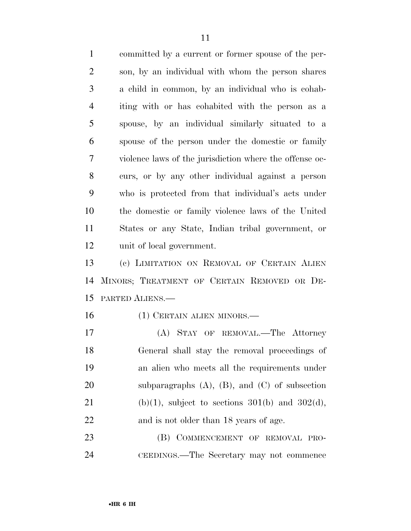committed by a current or former spouse of the per- son, by an individual with whom the person shares a child in common, by an individual who is cohab- iting with or has cohabited with the person as a spouse, by an individual similarly situated to a spouse of the person under the domestic or family violence laws of the jurisdiction where the offense oc- curs, or by any other individual against a person who is protected from that individual's acts under the domestic or family violence laws of the United States or any State, Indian tribal government, or unit of local government.

 (c) LIMITATION ON REMOVAL OF CERTAIN ALIEN MINORS; TREATMENT OF CERTAIN REMOVED OR DE-PARTED ALIENS.—

(1) CERTAIN ALIEN MINORS.—

 (A) STAY OF REMOVAL.—The Attorney General shall stay the removal proceedings of an alien who meets all the requirements under subparagraphs (A), (B), and (C) of subsection 21 (b)(1), subject to sections  $301(b)$  and  $302(d)$ , and is not older than 18 years of age.

23 (B) COMMENCEMENT OF REMOVAL PRO-CEEDINGS.—The Secretary may not commence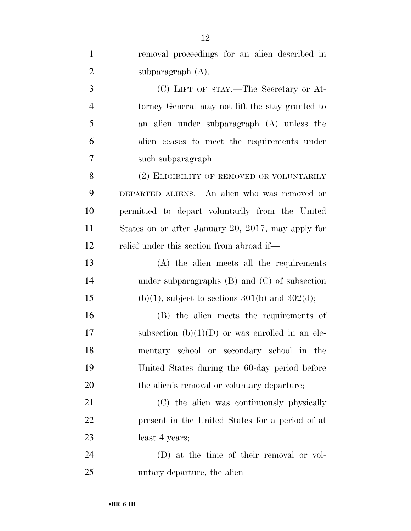| $\mathbf{1}$   | removal proceedings for an alien described in      |
|----------------|----------------------------------------------------|
| $\overline{2}$ | subparagraph $(A)$ .                               |
| 3              | (C) LIFT OF STAY.—The Secretary or At-             |
| 4              | torney General may not lift the stay granted to    |
| 5              | an alien under subparagraph (A) unless the         |
| 6              | alien ceases to meet the requirements under        |
| $\overline{7}$ | such subparagraph.                                 |
| 8              | (2) ELIGIBILITY OF REMOVED OR VOLUNTARILY          |
| 9              | DEPARTED ALIENS.—An alien who was removed or       |
| 10             | permitted to depart voluntarily from the United    |
| 11             | States on or after January 20, 2017, may apply for |
| 12             | relief under this section from abroad if—          |
| 13             | (A) the alien meets all the requirements           |
| 14             | under subparagraphs $(B)$ and $(C)$ of subsection  |
| 15             | $(b)(1)$ , subject to sections 301(b) and 302(d);  |
| 16             | (B) the alien meets the requirements of            |
| 17             | subsection $(b)(1)(D)$ or was enrolled in an ele-  |
| 18             | mentary school or secondary school in the          |
| 19             | United States during the 60-day period before      |
| 20             | the alien's removal or voluntary departure;        |
| 21             | (C) the alien was continuously physically          |
| 22             | present in the United States for a period of at    |
| 23             | least 4 years;                                     |
| 24             | (D) at the time of their removal or vol-           |
| 25             | untary departure, the alien—                       |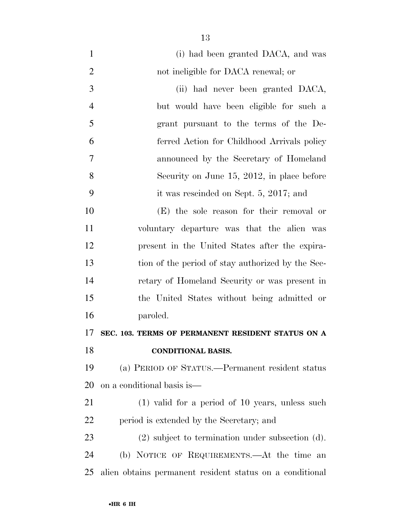(i) had been granted DACA, and was 2 not ineligible for DACA renewal; or (ii) had never been granted DACA, but would have been eligible for such a grant pursuant to the terms of the De- ferred Action for Childhood Arrivals policy announced by the Secretary of Homeland Security on June 15, 2012, in place before it was rescinded on Sept. 5, 2017; and (E) the sole reason for their removal or voluntary departure was that the alien was present in the United States after the expira- tion of the period of stay authorized by the Sec- retary of Homeland Security or was present in the United States without being admitted or paroled. **SEC. 103. TERMS OF PERMANENT RESIDENT STATUS ON A CONDITIONAL BASIS.**  (a) PERIOD OF STATUS.—Permanent resident status on a conditional basis is— (1) valid for a period of 10 years, unless such period is extended by the Secretary; and (2) subject to termination under subsection (d).

 (b) NOTICE OF REQUIREMENTS.—At the time an alien obtains permanent resident status on a conditional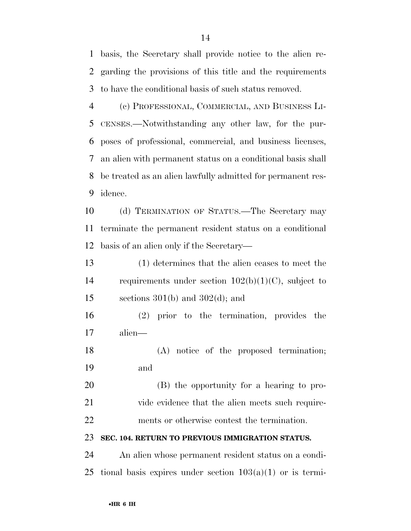basis, the Secretary shall provide notice to the alien re- garding the provisions of this title and the requirements to have the conditional basis of such status removed.

 (c) PROFESSIONAL, COMMERCIAL, AND BUSINESS LI- CENSES.—Notwithstanding any other law, for the pur- poses of professional, commercial, and business licenses, an alien with permanent status on a conditional basis shall be treated as an alien lawfully admitted for permanent res-idence.

 (d) TERMINATION OF STATUS.—The Secretary may terminate the permanent resident status on a conditional basis of an alien only if the Secretary—

 (1) determines that the alien ceases to meet the requirements under section 102(b)(1)(C), subject to 15 sections  $301(b)$  and  $302(d)$ ; and

 (2) prior to the termination, provides the alien—

 (A) notice of the proposed termination; and

 (B) the opportunity for a hearing to pro-21 vide evidence that the alien meets such require-ments or otherwise contest the termination.

#### **SEC. 104. RETURN TO PREVIOUS IMMIGRATION STATUS.**

 An alien whose permanent resident status on a condi-25 tional basis expires under section  $103(a)(1)$  or is termi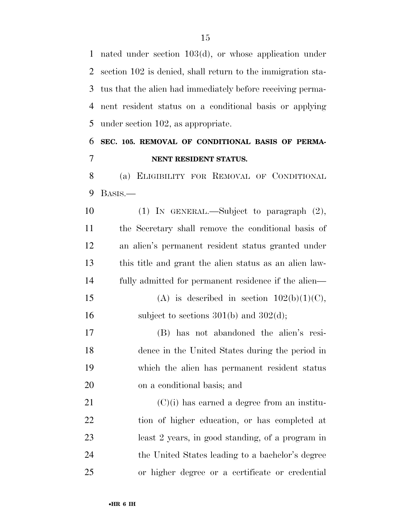nated under section 103(d), or whose application under section 102 is denied, shall return to the immigration sta- tus that the alien had immediately before receiving perma- nent resident status on a conditional basis or applying under section 102, as appropriate.

## **SEC. 105. REMOVAL OF CONDITIONAL BASIS OF PERMA-NENT RESIDENT STATUS.**

 (a) ELIGIBILITY FOR REMOVAL OF CONDITIONAL BASIS.—

 (1) IN GENERAL.—Subject to paragraph (2), the Secretary shall remove the conditional basis of an alien's permanent resident status granted under this title and grant the alien status as an alien law- fully admitted for permanent residence if the alien— 15 (A) is described in section  $102(b)(1)(C)$ , 16 subject to sections  $301(b)$  and  $302(d)$ ; (B) has not abandoned the alien's resi-

 dence in the United States during the period in which the alien has permanent resident status on a conditional basis; and

 (C)(i) has earned a degree from an institu- tion of higher education, or has completed at least 2 years, in good standing, of a program in the United States leading to a bachelor's degree or higher degree or a certificate or credential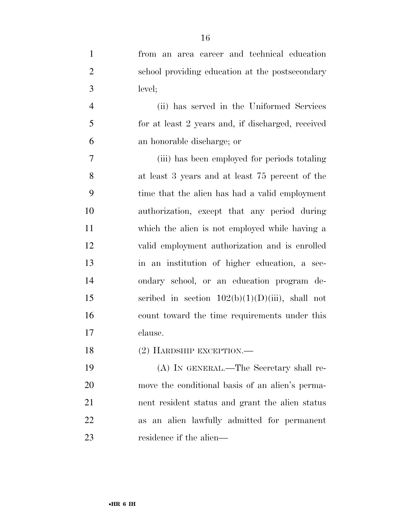| $\mathbf{1}$   | from an area career and technical education        |
|----------------|----------------------------------------------------|
| $\overline{2}$ | school providing education at the postsecondary    |
| 3              | level;                                             |
| $\overline{4}$ | (ii) has served in the Uniformed Services          |
| 5              | for at least 2 years and, if discharged, received  |
| 6              | an honorable discharge; or                         |
| 7              | (iii) has been employed for periods totaling       |
| 8              | at least 3 years and at least 75 percent of the    |
| 9              | time that the alien has had a valid employment     |
| 10             | authorization, except that any period during       |
| 11             | which the alien is not employed while having a     |
| 12             | valid employment authorization and is enrolled     |
| 13             | in an institution of higher education, a sec-      |
| 14             | ondary school, or an education program de-         |
| 15             | scribed in section $102(b)(1)(D)(iii)$ , shall not |
| 16             | count toward the time requirements under this      |
| 17             | clause.                                            |
| 18             | $(2)$ HARDSHIP EXCEPTION.—                         |
| 19             | (A) IN GENERAL.—The Secretary shall re-            |
| 20             | move the conditional basis of an alien's perma-    |
| 21             | nent resident status and grant the alien status    |
| 22             | as an alien lawfully admitted for permanent        |

residence if the alien—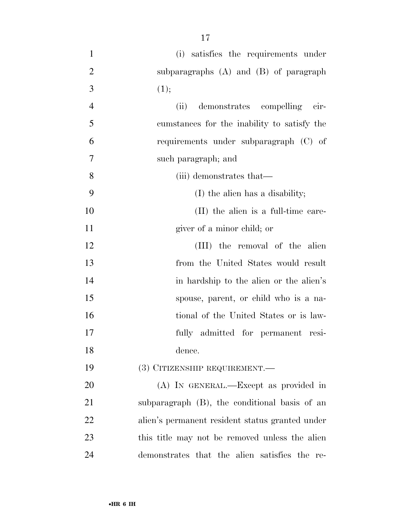(i) satisfies the requirements under subparagraphs (A) and (B) of paragraph 3 (1); (ii) demonstrates compelling cir- cumstances for the inability to satisfy the requirements under subparagraph (C) of such paragraph; and (iii) demonstrates that— (I) the alien has a disability; 10 (II) the alien is a full-time care- giver of a minor child; or 12 (III) the removal of the alien from the United States would result 14 in hardship to the alien or the alien's spouse, parent, or child who is a na-16 tional of the United States or is law- fully admitted for permanent resi- dence. (3) CITIZENSHIP REQUIREMENT.— (A) IN GENERAL.—Except as provided in subparagraph (B), the conditional basis of an

 alien's permanent resident status granted under 23 this title may not be removed unless the alien demonstrates that the alien satisfies the re-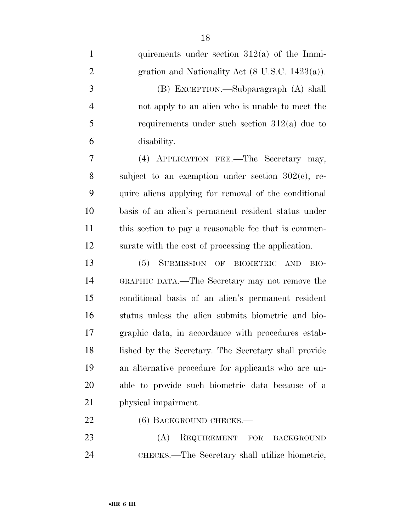| $\mathbf{1}$   | quirements under section $312(a)$ of the Immi-              |
|----------------|-------------------------------------------------------------|
| $\overline{2}$ | gration and Nationality Act $(8 \text{ U.S.C. } 1423(a))$ . |
| 3              | (B) EXCEPTION.—Subparagraph (A) shall                       |
| $\overline{4}$ | not apply to an alien who is unable to meet the             |
| 5              | requirements under such section $312(a)$ due to             |
| 6              | disability.                                                 |
| 7              | (4) APPLICATION FEE.—The Secretary may,                     |
| 8              | subject to an exemption under section $302(e)$ , re-        |
| 9              | quire aliens applying for removal of the conditional        |
| 10             | basis of an alien's permanent resident status under         |
| 11             | this section to pay a reasonable fee that is commen-        |
| 12             | surate with the cost of processing the application.         |
| 13             | (5) SUBMISSION OF BIOMETRIC AND<br>BIO-                     |
| 14             | GRAPHIC DATA.—The Secretary may not remove the              |
| 15             | conditional basis of an alien's permanent resident          |
| 16             | status unless the alien submits biometric and bio-          |
| 17             | graphic data, in accordance with procedures estab-          |
| 18             | lished by the Secretary. The Secretary shall provide        |
| 19             | an alternative procedure for applicants who are un-         |
| 20             | able to provide such biometric data because of a            |
| 21             | physical impairment.                                        |
| 22             | $(6)$ BACKGROUND CHECKS.—                                   |
| 23             | (A)<br>REQUIREMENT<br>FOR<br><b>BACKGROUND</b>              |

CHECKS.—The Secretary shall utilize biometric,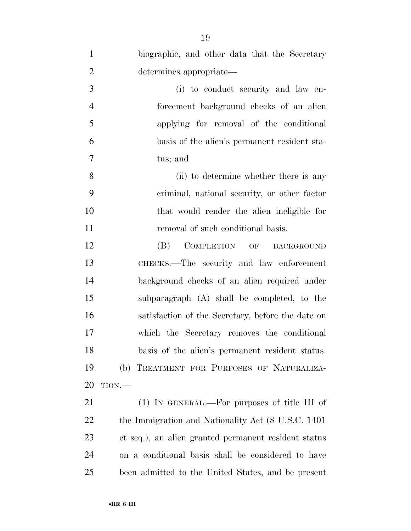| $\mathbf{1}$   | biographic, and other data that the Secretary                           |
|----------------|-------------------------------------------------------------------------|
| $\overline{2}$ | determines appropriate-                                                 |
| 3              | (i) to conduct security and law en-                                     |
| $\overline{4}$ | forcement background checks of an alien                                 |
| 5              | applying for removal of the conditional                                 |
| 6              | basis of the alien's permanent resident sta-                            |
| 7              | tus; and                                                                |
| 8              | (ii) to determine whether there is any                                  |
| 9              | criminal, national security, or other factor                            |
| 10             | that would render the alien ineligible for                              |
| 11             | removal of such conditional basis.                                      |
| 12             | <b>COMPLETION</b><br>(B)<br>$\overline{\text{OF}}$<br><b>BACKGROUND</b> |
| 13             | CHECKS.—The security and law enforcement                                |
| 14             | background checks of an alien required under                            |
| 15             | subparagraph (A) shall be completed, to the                             |
| 16             | satisfaction of the Secretary, before the date on                       |
| 17             | which the Secretary removes the conditional                             |
| 18             | basis of the alien's permanent resident status.                         |
| 19             | (b) TREATMENT FOR PURPOSES OF NATURALIZA-                               |
| 20             | TION.                                                                   |
| 21             | (1) IN GENERAL.—For purposes of title III of                            |
| <u>22</u>      | the Immigration and Nationality Act (8 U.S.C. 1401)                     |
| 23             | et seq.), an alien granted permanent resident status                    |
| 24             | on a conditional basis shall be considered to have                      |
| 25             | been admitted to the United States, and be present                      |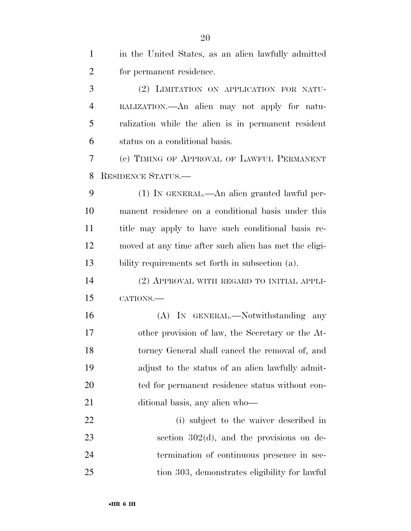| $\mathbf{1}$   | in the United States, as an alien lawfully admitted   |
|----------------|-------------------------------------------------------|
| $\overline{2}$ | for permanent residence.                              |
| 3              | (2) LIMITATION ON APPLICATION FOR NATU-               |
| 4              | RALIZATION.—An alien may not apply for natu-          |
| 5              | ralization while the alien is in permanent resident   |
| 6              | status on a conditional basis.                        |
| 7              | (c) TIMING OF APPROVAL OF LAWFUL PERMANENT            |
| 8              | <b>RESIDENCE STATUS.—</b>                             |
| 9              | (1) IN GENERAL.—An alien granted lawful per-          |
| 10             | manent residence on a conditional basis under this    |
| 11             | title may apply to have such conditional basis re-    |
| 12             | moved at any time after such alien has met the eligi- |
| 13             | bility requirements set forth in subsection (a).      |
| 14             | (2) APPROVAL WITH REGARD TO INITIAL APPLI-            |
| 15             | CATIONS.                                              |
| 16             | (A) IN GENERAL.—Notwithstanding any                   |
| 17             | other provision of law, the Secretary or the At-      |
| 18             | torney General shall cancel the removal of, and       |
| 19             | adjust to the status of an alien lawfully admit-      |
| 20             | ted for permanent residence status without con-       |
| 21             | ditional basis, any alien who—                        |
| 22             | (i) subject to the waiver described in                |
| 23             | section $302(d)$ , and the provisions on de-          |
| 24             | termination of continuous presence in sec-            |
| 25             | tion 303, demonstrates eligibility for lawful         |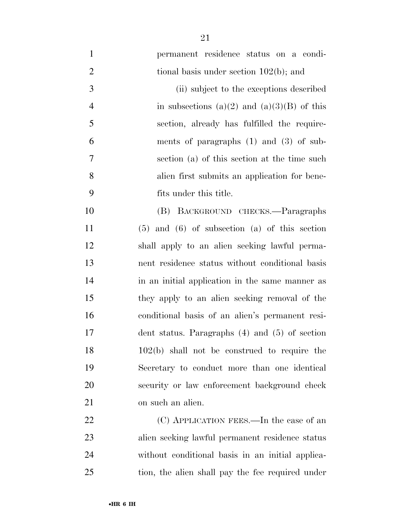permanent residence status on a condi-2 tional basis under section 102(b); and (ii) subject to the exceptions described 4 in subsections (a)(2) and (a)(3)(B) of this section, already has fulfilled the require- ments of paragraphs (1) and (3) of sub- section (a) of this section at the time such alien first submits an application for bene- fits under this title. (B) BACKGROUND CHECKS.—Paragraphs (5) and (6) of subsection (a) of this section shall apply to an alien seeking lawful perma- nent residence status without conditional basis 14 in an initial application in the same manner as they apply to an alien seeking removal of the conditional basis of an alien's permanent resi- dent status. Paragraphs (4) and (5) of section 102(b) shall not be construed to require the Secretary to conduct more than one identical security or law enforcement background check on such an alien. 22 (C) APPLICATION FEES.—In the case of an

 alien seeking lawful permanent residence status without conditional basis in an initial applica-tion, the alien shall pay the fee required under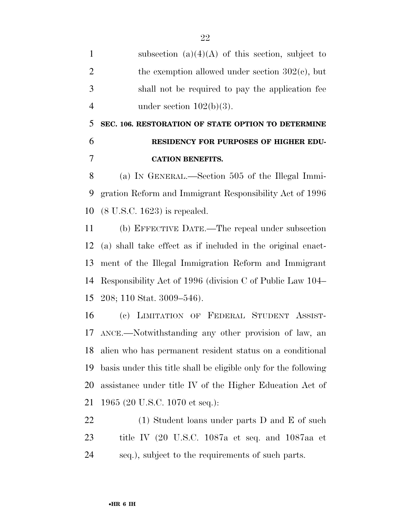1 subsection  $(a)(4)(A)$  of this section, subject to 2 the exemption allowed under section  $302(c)$ , but shall not be required to pay the application fee 4 under section  $102(b)(3)$ .

 **SEC. 106. RESTORATION OF STATE OPTION TO DETERMINE RESIDENCY FOR PURPOSES OF HIGHER EDU-CATION BENEFITS.** 

 (a) IN GENERAL.—Section 505 of the Illegal Immi- gration Reform and Immigrant Responsibility Act of 1996 (8 U.S.C. 1623) is repealed.

 (b) EFFECTIVE DATE.—The repeal under subsection (a) shall take effect as if included in the original enact- ment of the Illegal Immigration Reform and Immigrant Responsibility Act of 1996 (division C of Public Law 104– 208; 110 Stat. 3009–546).

 (c) LIMITATION OF FEDERAL STUDENT ASSIST- ANCE.—Notwithstanding any other provision of law, an alien who has permanent resident status on a conditional basis under this title shall be eligible only for the following assistance under title IV of the Higher Education Act of 1965 (20 U.S.C. 1070 et seq.):

22 (1) Student loans under parts D and E of such title IV (20 U.S.C. 1087a et seq. and 1087aa et seq.), subject to the requirements of such parts.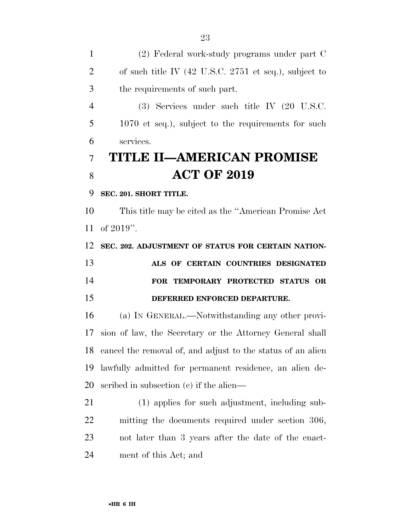(2) Federal work-study programs under part C of such title IV (42 U.S.C. 2751 et seq.), subject to the requirements of such part.

 (3) Services under such title IV (20 U.S.C. 1070 et seq.), subject to the requirements for such services.

## **TITLE II—AMERICAN PROMISE ACT OF 2019**

#### **SEC. 201. SHORT TITLE.**

 This title may be cited as the ''American Promise Act of 2019''.

 **SEC. 202. ADJUSTMENT OF STATUS FOR CERTAIN NATION- ALS OF CERTAIN COUNTRIES DESIGNATED FOR TEMPORARY PROTECTED STATUS OR DEFERRED ENFORCED DEPARTURE.** 

 (a) IN GENERAL.—Notwithstanding any other provi- sion of law, the Secretary or the Attorney General shall cancel the removal of, and adjust to the status of an alien lawfully admitted for permanent residence, an alien de-scribed in subsection (c) if the alien—

 (1) applies for such adjustment, including sub- mitting the documents required under section 306, not later than 3 years after the date of the enact-ment of this Act; and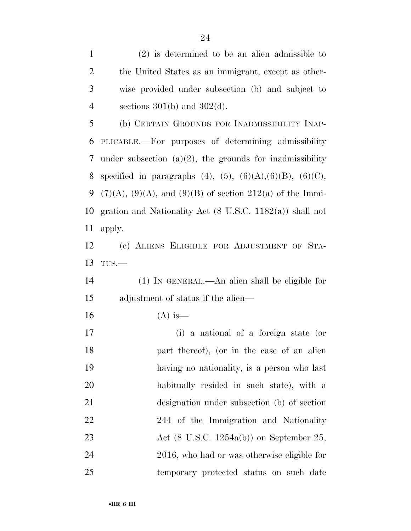(2) is determined to be an alien admissible to the United States as an immigrant, except as other- wise provided under subsection (b) and subject to 4 sections  $301(b)$  and  $302(d)$ . (b) CERTAIN GROUNDS FOR INADMISSIBILITY INAP- PLICABLE.—For purposes of determining admissibility 7 under subsection  $(a)(2)$ , the grounds for inadmissibility 8 specified in paragraphs  $(4)$ ,  $(5)$ ,  $(6)(A)$ ,  $(6)(B)$ ,  $(6)(C)$ , 9 (7)(A), (9)(A), and (9)(B) of section 212(a) of the Immi- gration and Nationality Act (8 U.S.C. 1182(a)) shall not apply. (c) ALIENS ELIGIBLE FOR ADJUSTMENT OF STA-TUS.—

 (1) IN GENERAL.—An alien shall be eligible for adjustment of status if the alien—

16 (A) is—

 (i) a national of a foreign state (or part thereof), (or in the case of an alien having no nationality, is a person who last habitually resided in such state), with a designation under subsection (b) of section 22 244 of the Immigration and Nationality 23 Act (8 U.S.C. 1254a(b)) on September 25, 2016, who had or was otherwise eligible for temporary protected status on such date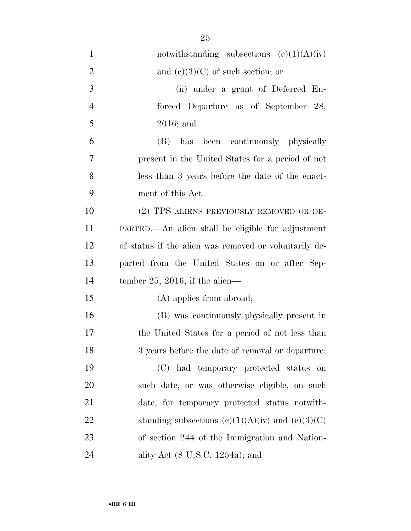| $\mathbf{1}$   | notwithstanding subsections $(c)(1)(A)(iv)$           |
|----------------|-------------------------------------------------------|
| $\overline{2}$ | and $(e)(3)(C)$ of such section; or                   |
| 3              | (ii) under a grant of Deferred En-                    |
| $\overline{4}$ | forced Departure as of September 28,                  |
| 5              | $2016$ ; and                                          |
| 6              | has been continuously physically<br>(B)               |
| 7              | present in the United States for a period of not      |
| 8              | less than 3 years before the date of the enact-       |
| 9              | ment of this Act.                                     |
| 10             | (2) TPS ALIENS PREVIOUSLY REMOVED OR DE-              |
| 11             | PARTED.—An alien shall be eligible for adjustment     |
| 12             | of status if the alien was removed or voluntarily de- |
| 13             | parted from the United States on or after Sep-        |
| 14             | tember 25, 2016, if the alien—                        |
| 15             | $(A)$ applies from abroad;                            |
| 16             | (B) was continuously physically present in            |
| 17             | the United States for a period of not less than       |
| 18             | 3 years before the date of removal or departure;      |
| 19             | (C) had temporary protected status<br>on              |
| 20             | such date, or was otherwise eligible, on such         |
| 21             | date, for temporary protected status notwith-         |
| 22             | standing subsections $(c)(1)(A)(iv)$ and $(c)(3)(C)$  |
| 23             | of section 244 of the Immigration and Nation-         |
| 24             | ality Act $(8 \text{ U.S.C. } 1254a)$ ; and           |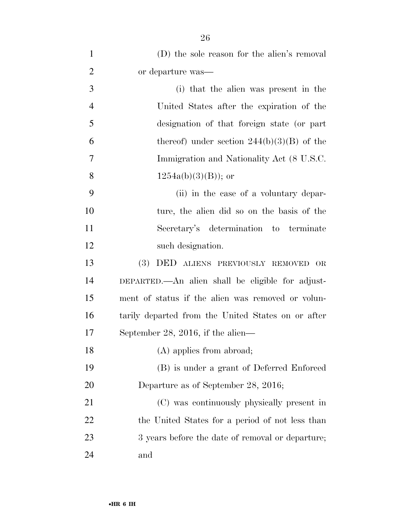| $\mathbf{1}$   | (D) the sole reason for the alien's removal             |
|----------------|---------------------------------------------------------|
| $\overline{2}$ | or departure was—                                       |
| 3              | (i) that the alien was present in the                   |
| $\overline{4}$ | United States after the expiration of the               |
| 5              | designation of that foreign state (or part              |
| 6              | thereof) under section $244(b)(3)(B)$ of the            |
| $\overline{7}$ | Immigration and Nationality Act (8 U.S.C.               |
| 8              | $1254a(b)(3)(B)$ ; or                                   |
| 9              | (ii) in the case of a voluntary depar-                  |
| 10             | ture, the alien did so on the basis of the              |
| 11             | Secretary's determination to terminate                  |
| 12             | such designation.                                       |
| 13             | <b>(3)</b><br>DED ALIENS PREVIOUSLY REMOVED<br>$\rm OR$ |
| 14             | DEPARTED.—An alien shall be eligible for adjust-        |
| 15             | ment of status if the alien was removed or volun-       |
| 16             | tarily departed from the United States on or after      |
| 17             | September 28, 2016, if the alien—                       |
| 18             | $(A)$ applies from abroad;                              |
| 19             | (B) is under a grant of Deferred Enforced               |
| 20             | Departure as of September 28, 2016;                     |
| 21             | (C) was continuously physically present in              |
| 22             | the United States for a period of not less than         |
| 23             | 3 years before the date of removal or departure;        |
| 24             | and                                                     |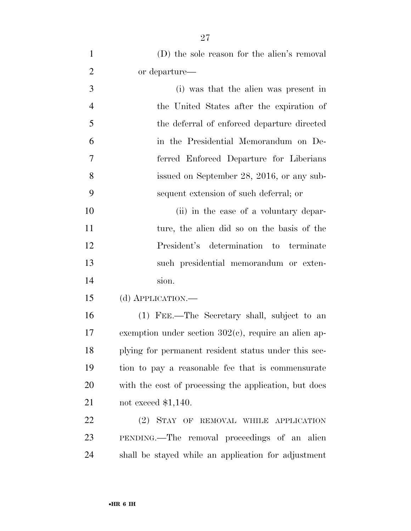| $\mathbf{1}$   | (D) the sole reason for the alien's removal             |
|----------------|---------------------------------------------------------|
| $\overline{2}$ | or departure—                                           |
| 3              | (i) was that the alien was present in                   |
| $\overline{4}$ | the United States after the expiration of               |
| 5              | the deferral of enforced departure directed             |
| 6              | in the Presidential Memorandum on De-                   |
| 7              | ferred Enforced Departure for Liberians                 |
| 8              | issued on September 28, 2016, or any sub-               |
| 9              | sequent extension of such deferral; or                  |
| 10             | (ii) in the case of a voluntary depar-                  |
| 11             | ture, the alien did so on the basis of the              |
| 12             | President's determination to terminate                  |
| 13             | such presidential memorandum or exten-                  |
| 14             | sion.                                                   |
| 15             | (d) APPLICATION.-                                       |
| 16             | (1) FEE.—The Secretary shall, subject to an             |
| 17             | exemption under section $302(c)$ , require an alien ap- |
| 18             | plying for permanent resident status under this sec-    |
| 19             | tion to pay a reasonable fee that is commensurate       |
| 20             | with the cost of processing the application, but does   |
| 21             | not exceed $$1,140$ .                                   |
| 22             | (2) STAY OF REMOVAL WHILE APPLICATION                   |
| 23             | PENDING.—The removal proceedings of an alien            |
| 24             | shall be stayed while an application for adjustment     |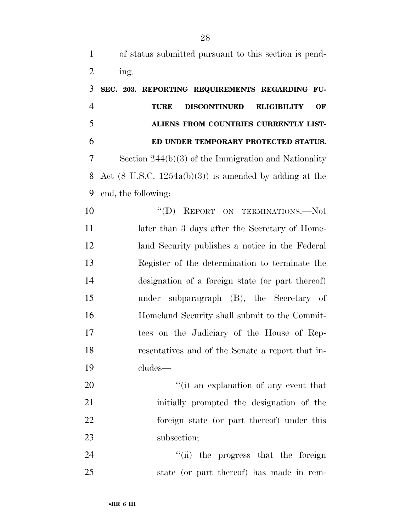| $\mathbf{1}$   | of status submitted pursuant to this section is pend-             |
|----------------|-------------------------------------------------------------------|
| $\overline{2}$ | ing.                                                              |
| 3              | SEC. 203. REPORTING REQUIREMENTS REGARDING FU-                    |
| $\overline{4}$ | <b>DISCONTINUED</b><br><b>ELIGIBILITY</b><br>OF<br><b>TURE</b>    |
| 5              | ALIENS FROM COUNTRIES CURRENTLY LIST-                             |
| 6              | ED UNDER TEMPORARY PROTECTED STATUS.                              |
| 7              | Section $244(b)(3)$ of the Immigration and Nationality            |
| 8              | Act $(8 \text{ U.S.C. } 1254a(b)(3))$ is amended by adding at the |
| 9              | end, the following:                                               |
| 10             | $\lq\lq (D)$<br>REPORT ON TERMINATIONS.-Not                       |
| 11             | later than 3 days after the Secretary of Home-                    |
| 12             | land Security publishes a notice in the Federal                   |
| 13             | Register of the determination to terminate the                    |
| 14             | designation of a foreign state (or part thereof)                  |
| 15             | under subparagraph (B), the Secretary of                          |
| 16             | Homeland Security shall submit to the Commit-                     |
| 17             | tees on the Judiciary of the House of Rep-                        |
| 18             | resentatives and of the Senate a report that in-                  |
| 19             | cludes—                                                           |
| 20             | "(i) an explanation of any event that                             |
| 21             | initially prompted the designation of the                         |
| 22             | foreign state (or part thereof) under this                        |
| 23             | subsection;                                                       |
| 24             | "(ii) the progress that the foreign                               |

state (or part thereof) has made in rem-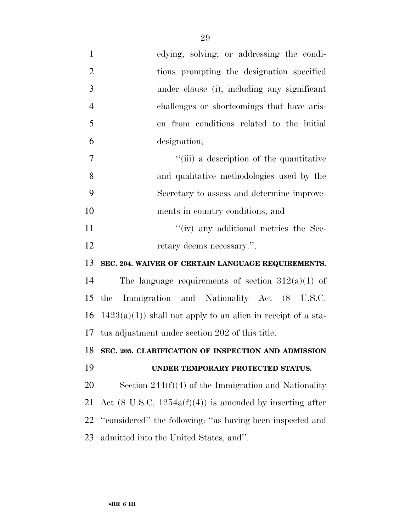| $\mathbf{1}$   | edying, solving, or addressing the condi-                           |
|----------------|---------------------------------------------------------------------|
| $\overline{2}$ | tions prompting the designation specified                           |
| 3              | under clause (i), including any significant                         |
| $\overline{4}$ | challenges or shortcomings that have aris-                          |
| 5              | en from conditions related to the initial                           |
| 6              | designation;                                                        |
| 7              | "(iii) a description of the quantitative                            |
| 8              | and qualitative methodologies used by the                           |
| 9              | Secretary to assess and determine improve-                          |
| 10             | ments in country conditions; and                                    |
| 11             | "(iv) any additional metrics the Sec-                               |
| 12             | retary deems necessary.".                                           |
| 13             | SEC. 204. WAIVER OF CERTAIN LANGUAGE REQUIREMENTS.                  |
| 14             | The language requirements of section $312(a)(1)$ of                 |
| 15             | Immigration and Nationality Act (8 U.S.C.<br>the                    |
| 16             | $1423(a)(1)$ shall not apply to an alien in receipt of a sta-       |
| 17             | tus adjustment under section 202 of this title.                     |
|                | 18 SEC. 205. CLARIFICATION OF INSPECTION AND ADMISSION              |
| 19             | UNDER TEMPORARY PROTECTED STATUS.                                   |
| 20             | Section $244(f)(4)$ of the Immigration and Nationality              |
| 21             | Act $(8 \text{ U.S.C. } 1254a(f)(4))$ is amended by inserting after |
| 22             | "considered" the following: "as having been inspected and           |
| 23             | admitted into the United States, and".                              |
|                |                                                                     |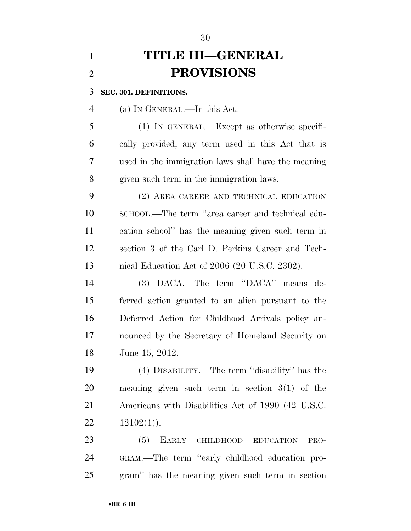# **TITLE III—GENERAL PROVISIONS**

**SEC. 301. DEFINITIONS.** 

(a) IN GENERAL.—In this Act:

 (1) IN GENERAL.—Except as otherwise specifi- cally provided, any term used in this Act that is used in the immigration laws shall have the meaning given such term in the immigration laws.

 (2) AREA CAREER AND TECHNICAL EDUCATION SCHOOL.—The term ''area career and technical edu- cation school'' has the meaning given such term in section 3 of the Carl D. Perkins Career and Tech-nical Education Act of 2006 (20 U.S.C. 2302).

 (3) DACA.—The term ''DACA'' means de- ferred action granted to an alien pursuant to the Deferred Action for Childhood Arrivals policy an- nounced by the Secretary of Homeland Security on June 15, 2012.

 (4) DISABILITY.—The term ''disability'' has the meaning given such term in section 3(1) of the Americans with Disabilities Act of 1990 (42 U.S.C.  $12102(1)$ .

 (5) EARLY CHILDHOOD EDUCATION PRO- GRAM.—The term ''early childhood education pro-gram'' has the meaning given such term in section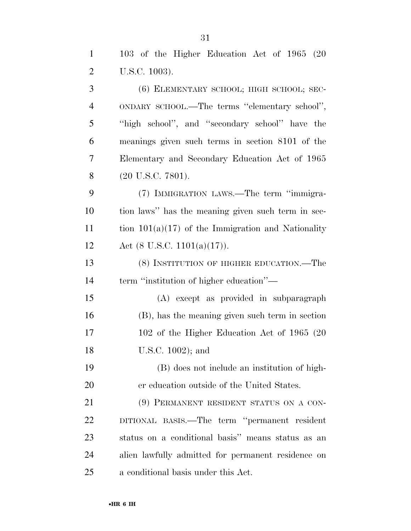| $\mathbf{1}$   | 103 of the Higher Education Act of 1965 (20          |
|----------------|------------------------------------------------------|
| $\overline{2}$ | U.S.C. 1003).                                        |
| 3              | (6) ELEMENTARY SCHOOL; HIGH SCHOOL; SEC-             |
| $\overline{4}$ | ONDARY SCHOOL.—The terms "elementary school",        |
| 5              | "high school", and "secondary school" have the       |
| 6              | meanings given such terms in section 8101 of the     |
| 7              | Elementary and Secondary Education Act of 1965       |
| 8              | $(20 \text{ U.S.C. } 7801).$                         |
| 9              | (7) IMMIGRATION LAWS.—The term "immigra-             |
| 10             | tion laws" has the meaning given such term in sec-   |
| 11             | tion $101(a)(17)$ of the Immigration and Nationality |
| 12             | Act $(8 \text{ U.S.C. } 1101(a)(17)).$               |
| 13             | (8) INSTITUTION OF HIGHER EDUCATION.—The             |
| 14             | term "institution of higher education"-              |
| 15             | (A) except as provided in subparagraph               |
| 16             | (B), has the meaning given such term in section      |
| 17             | 102 of the Higher Education Act of 1965 (20)         |
| 18             | U.S.C. 1002); and                                    |
| 19             | (B) does not include an institution of high-         |
| 20             | er education outside of the United States.           |
| 21             | (9) PERMANENT RESIDENT STATUS ON A CON-              |
| 22             | DITIONAL BASIS.—The term "permanent resident         |
| 23             | status on a conditional basis" means status as an    |
| 24             | alien lawfully admitted for permanent residence on   |
| 25             | a conditional basis under this Act.                  |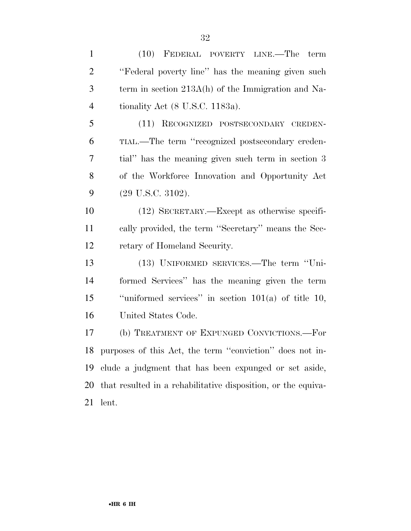(10) FEDERAL POVERTY LINE.—The term ''Federal poverty line'' has the meaning given such term in section 213A(h) of the Immigration and Na- tionality Act (8 U.S.C. 1183a). (11) RECOGNIZED POSTSECONDARY CREDEN- TIAL.—The term ''recognized postsecondary creden- tial'' has the meaning given such term in section 3 of the Workforce Innovation and Opportunity Act (29 U.S.C. 3102). (12) SECRETARY.—Except as otherwise specifi- cally provided, the term ''Secretary'' means the Sec- retary of Homeland Security. (13) UNIFORMED SERVICES.—The term ''Uni- formed Services'' has the meaning given the term ''uniformed services'' in section 101(a) of title 10, United States Code. (b) TREATMENT OF EXPUNGED CONVICTIONS.—For purposes of this Act, the term ''conviction'' does not in- clude a judgment that has been expunged or set aside, that resulted in a rehabilitative disposition, or the equiva-lent.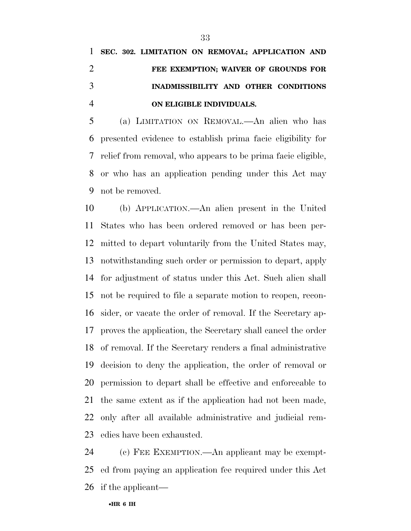# **SEC. 302. LIMITATION ON REMOVAL; APPLICATION AND FEE EXEMPTION; WAIVER OF GROUNDS FOR INADMISSIBILITY AND OTHER CONDITIONS ON ELIGIBLE INDIVIDUALS.**

 (a) LIMITATION ON REMOVAL.—An alien who has presented evidence to establish prima facie eligibility for relief from removal, who appears to be prima facie eligible, or who has an application pending under this Act may not be removed.

 (b) APPLICATION.—An alien present in the United States who has been ordered removed or has been per- mitted to depart voluntarily from the United States may, notwithstanding such order or permission to depart, apply for adjustment of status under this Act. Such alien shall not be required to file a separate motion to reopen, recon- sider, or vacate the order of removal. If the Secretary ap- proves the application, the Secretary shall cancel the order of removal. If the Secretary renders a final administrative decision to deny the application, the order of removal or permission to depart shall be effective and enforceable to the same extent as if the application had not been made, only after all available administrative and judicial rem-edies have been exhausted.

 (c) FEE EXEMPTION.—An applicant may be exempt- ed from paying an application fee required under this Act if the applicant—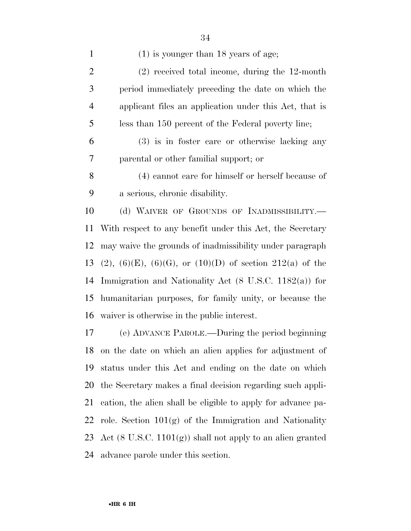1 (1) is younger than 18 years of age; (2) received total income, during the 12-month period immediately preceding the date on which the applicant files an application under this Act, that is less than 150 percent of the Federal poverty line; (3) is in foster care or otherwise lacking any parental or other familial support; or (4) cannot care for himself or herself because of a serious, chronic disability. 10 (d) WAIVER OF GROUNDS OF INADMISSIBILITY. With respect to any benefit under this Act, the Secretary may waive the grounds of inadmissibility under paragraph 13 (2), (6)(E), (6)(G), or (10)(D) of section 212(a) of the Immigration and Nationality Act (8 U.S.C. 1182(a)) for humanitarian purposes, for family unity, or because the waiver is otherwise in the public interest.

 (e) ADVANCE PAROLE.—During the period beginning on the date on which an alien applies for adjustment of status under this Act and ending on the date on which the Secretary makes a final decision regarding such appli- cation, the alien shall be eligible to apply for advance pa-22 role. Section  $101(g)$  of the Immigration and Nationality 23 Act  $(8 \text{ U.S.C. } 1101(g))$  shall not apply to an alien granted advance parole under this section.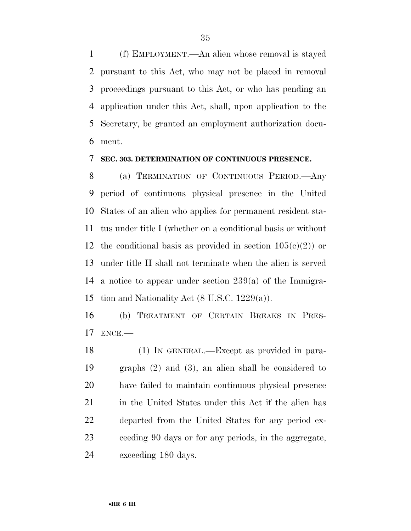(f) EMPLOYMENT.—An alien whose removal is stayed pursuant to this Act, who may not be placed in removal proceedings pursuant to this Act, or who has pending an application under this Act, shall, upon application to the Secretary, be granted an employment authorization docu-ment.

#### **SEC. 303. DETERMINATION OF CONTINUOUS PRESENCE.**

 (a) TERMINATION OF CONTINUOUS PERIOD.—Any period of continuous physical presence in the United States of an alien who applies for permanent resident sta- tus under title I (whether on a conditional basis or without 12 the conditional basis as provided in section  $105(c)(2)$  or under title II shall not terminate when the alien is served a notice to appear under section 239(a) of the Immigra-tion and Nationality Act (8 U.S.C. 1229(a)).

 (b) TREATMENT OF CERTAIN BREAKS IN PRES-ENCE.—

 (1) IN GENERAL.—Except as provided in para- graphs (2) and (3), an alien shall be considered to have failed to maintain continuous physical presence 21 in the United States under this Act if the alien has departed from the United States for any period ex- ceeding 90 days or for any periods, in the aggregate, exceeding 180 days.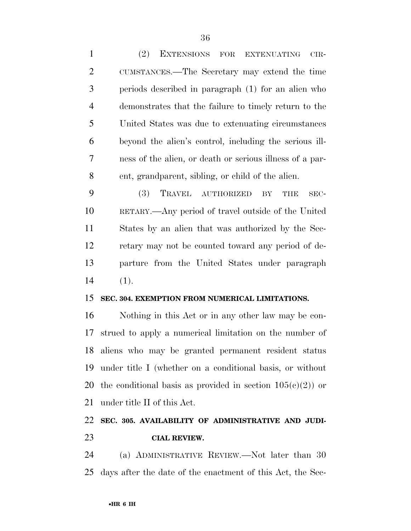| $\mathbf{1}$   | (2)<br>EXTENSIONS FOR<br><b>EXTENUATING</b><br>$CIR-$       |
|----------------|-------------------------------------------------------------|
| $\overline{2}$ | CUMSTANCES.—The Secretary may extend the time               |
| 3              | periods described in paragraph (1) for an alien who         |
| $\overline{4}$ | demonstrates that the failure to timely return to the       |
| 5              | United States was due to extenuating circumstances          |
| 6              | beyond the alien's control, including the serious ill-      |
| 7              | ness of the alien, or death or serious illness of a par-    |
| 8              | ent, grandparent, sibling, or child of the alien.           |
| 9              | TRAVEL<br><b>(3)</b><br>AUTHORIZED<br>BY<br>THE<br>SEC-     |
| 10             | RETARY.—Any period of travel outside of the United          |
| 11             | States by an alien that was authorized by the Sec-          |
| 12             | retary may not be counted toward any period of de-          |
| 13             | parture from the United States under paragraph              |
| 14             | (1).                                                        |
| 15             | SEC. 304. EXEMPTION FROM NUMERICAL LIMITATIONS.             |
| 16             | Nothing in this Act or in any other law may be con-         |
| 17             | strued to apply a numerical limitation on the number of     |
|                | 18 aliens who may be granted permanent resident status      |
| 19             | under title I (whether on a conditional basis, or without   |
| 20             | the conditional basis as provided in section $105(c)(2)$ or |
| 21             | under title II of this Act.                                 |

## **SEC. 305. AVAILABILITY OF ADMINISTRATIVE AND JUDI-CIAL REVIEW.**

 (a) ADMINISTRATIVE REVIEW.—Not later than 30 days after the date of the enactment of this Act, the Sec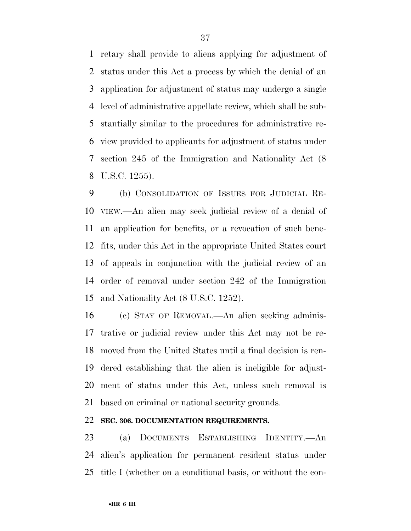retary shall provide to aliens applying for adjustment of status under this Act a process by which the denial of an application for adjustment of status may undergo a single level of administrative appellate review, which shall be sub- stantially similar to the procedures for administrative re- view provided to applicants for adjustment of status under section 245 of the Immigration and Nationality Act (8 U.S.C. 1255).

 (b) CONSOLIDATION OF ISSUES FOR JUDICIAL RE- VIEW.—An alien may seek judicial review of a denial of an application for benefits, or a revocation of such bene- fits, under this Act in the appropriate United States court of appeals in conjunction with the judicial review of an order of removal under section 242 of the Immigration and Nationality Act (8 U.S.C. 1252).

 (c) STAY OF REMOVAL.—An alien seeking adminis- trative or judicial review under this Act may not be re- moved from the United States until a final decision is ren- dered establishing that the alien is ineligible for adjust- ment of status under this Act, unless such removal is based on criminal or national security grounds.

#### **SEC. 306. DOCUMENTATION REQUIREMENTS.**

 (a) DOCUMENTS ESTABLISHING IDENTITY.—An alien's application for permanent resident status under title I (whether on a conditional basis, or without the con-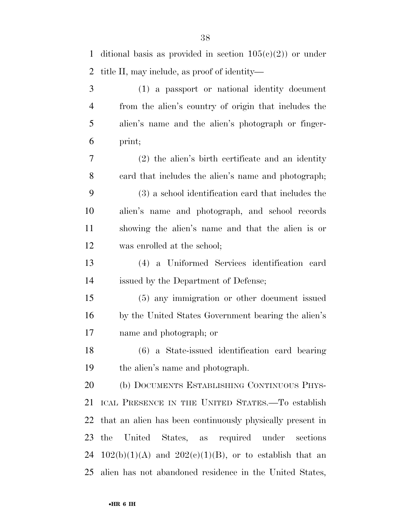| 4  | from the alien's country of origin that includes the        |
|----|-------------------------------------------------------------|
| 5  | alien's name and the alien's photograph or finger-          |
| 6  | print;                                                      |
| 7  | $(2)$ the alien's birth certificate and an identity         |
| 8  | eard that includes the alien's name and photograph;         |
| 9  | (3) a school identification card that includes the          |
| 10 | alien's name and photograph, and school records             |
| 11 | showing the alien's name and that the alien is or           |
| 12 | was enrolled at the school;                                 |
| 13 | (4) a Uniformed Services identification card                |
| 14 | issued by the Department of Defense;                        |
| 15 | (5) any immigration or other document issued                |
| 16 | by the United States Government bearing the alien's         |
| 17 | name and photograph; or                                     |
| 18 | (6) a State-issued identification card bearing              |
| 19 | the alien's name and photograph.                            |
| 20 | (b) DOCUMENTS ESTABLISHING CONTINUOUS PHYS-                 |
|    | 21 ICAL PRESENCE IN THE UNITED STATES. To establish         |
| 22 | that an alien has been continuously physically present in   |
| 23 | United<br>States, as required under<br>the<br>sections      |
| 24 | $102(b)(1)(A)$ and $202(e)(1)(B)$ , or to establish that an |
| 25 | alien has not abandoned residence in the United States,     |

1 ditional basis as provided in section  $105(e)(2)$  or under title II, may include, as proof of identity—

(1) a passport or national identity document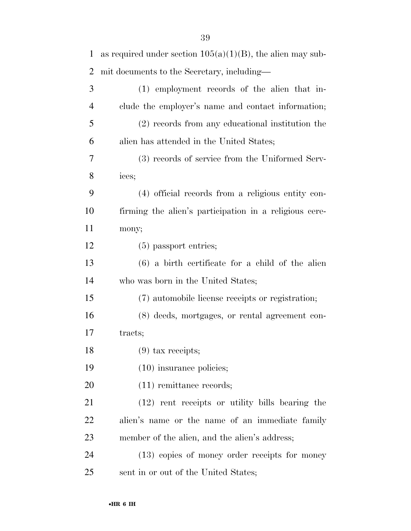| $\mathbf{1}$   | as required under section $105(a)(1)(B)$ , the alien may sub- |
|----------------|---------------------------------------------------------------|
| $\overline{2}$ | mit documents to the Secretary, including—                    |
| 3              | (1) employment records of the alien that in-                  |
| $\overline{4}$ | clude the employer's name and contact information;            |
| 5              | (2) records from any educational institution the              |
| 6              | alien has attended in the United States;                      |
| 7              | (3) records of service from the Uniformed Serv-               |
| 8              | ices;                                                         |
| 9              | (4) official records from a religious entity con-             |
| 10             | firming the alien's participation in a religious cere-        |
| 11             | mony;                                                         |
| 12             | $(5)$ passport entries;                                       |
| 13             | $(6)$ a birth certificate for a child of the alien            |
| 14             | who was born in the United States;                            |
| 15             | (7) automobile license receipts or registration;              |
| 16             | (8) deeds, mortgages, or rental agreement con-                |
| 17             | tracts;                                                       |
| 18             | $(9)$ tax receipts;                                           |
| 19             | $(10)$ insurance policies;                                    |
| 20             | $(11)$ remittance records;                                    |
| 21             | (12) rent receipts or utility bills bearing the               |
| 22             | alien's name or the name of an immediate family               |
| 23             | member of the alien, and the alien's address;                 |
| 24             | (13) copies of money order receipts for money                 |
| 25             | sent in or out of the United States;                          |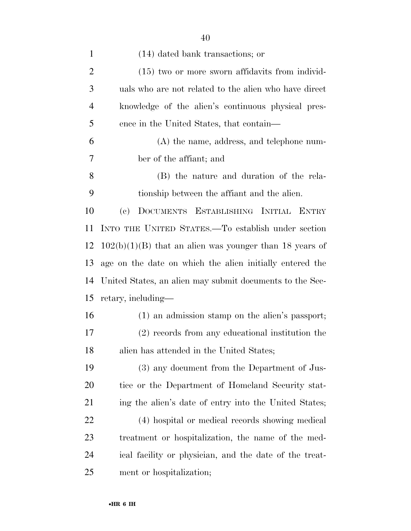| $\mathbf{1}$   | $(14)$ dated bank transactions; or                        |
|----------------|-----------------------------------------------------------|
| $\overline{2}$ | $(15)$ two or more sworn affidavits from individ-         |
| 3              | uals who are not related to the alien who have direct     |
| $\overline{4}$ | knowledge of the alien's continuous physical pres-        |
| 5              | ence in the United States, that contain—                  |
| 6              | $(A)$ the name, address, and telephone num-               |
| 7              | ber of the affiant; and                                   |
| 8              | (B) the nature and duration of the rela-                  |
| 9              | tionship between the affiant and the alien.               |
| 10             | DOCUMENTS ESTABLISHING INITIAL ENTRY<br>(e)               |
| 11             | INTO THE UNITED STATES.—To establish under section        |
| 12             | $102(b)(1)(B)$ that an alien was younger than 18 years of |
| 13             | age on the date on which the alien initially entered the  |
| 14             | United States, an alien may submit documents to the Sec-  |
| 15             | retary, including—                                        |
| 16             | (1) an admission stamp on the alien's passport;           |
| 17             | (2) records from any educational institution the          |
| 18             | alien has attended in the United States;                  |
| 19             | (3) any document from the Department of Jus-              |
| 20             | tice or the Department of Homeland Security stat-         |
| 21             | ing the alien's date of entry into the United States;     |
| 22             | (4) hospital or medical records showing medical           |
| 23             | treatment or hospitalization, the name of the med-        |
| 24             | ical facility or physician, and the date of the treat-    |
| 25             | ment or hospitalization;                                  |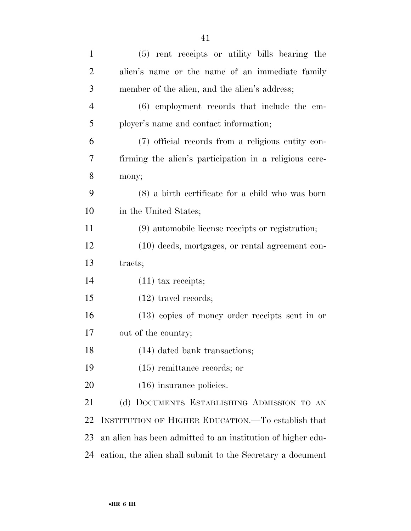| $\mathbf{1}$   | (5) rent receipts or utility bills bearing the              |
|----------------|-------------------------------------------------------------|
| $\overline{2}$ | alien's name or the name of an immediate family             |
| 3              | member of the alien, and the alien's address;               |
| $\overline{4}$ | (6) employment records that include the em-                 |
| 5              | ployer's name and contact information;                      |
| 6              | (7) official records from a religious entity con-           |
| 7              | firming the alien's participation in a religious cere-      |
| $8\,$          | mony;                                                       |
| 9              | $(8)$ a birth certificate for a child who was born          |
| 10             | in the United States;                                       |
| 11             | (9) automobile license receipts or registration;            |
| 12             | (10) deeds, mortgages, or rental agreement con-             |
| 13             | tracts;                                                     |
| 14             | $(11)$ tax receipts;                                        |
| 15             | $(12)$ travel records;                                      |
| 16             | $(13)$ copies of money order receipts sent in or            |
| 17             | out of the country;                                         |
| 18             | (14) dated bank transactions;                               |
| 19             | $(15)$ remittance records; or                               |
| 20             | $(16)$ insurance policies.                                  |
| 21             | (d) DOCUMENTS ESTABLISHING ADMISSION TO AN                  |
| 22             | INSTITUTION OF HIGHER EDUCATION.—To establish that          |
| 23             | an alien has been admitted to an institution of higher edu- |
| 24             | cation, the alien shall submit to the Secretary a document  |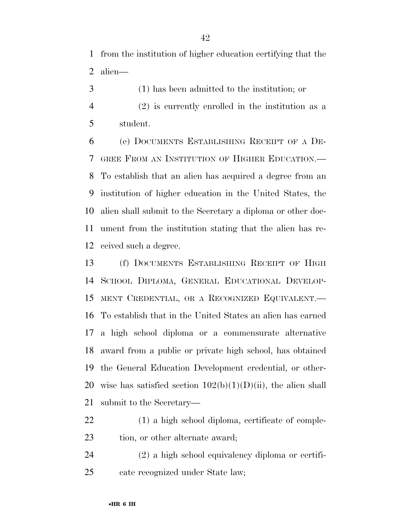from the institution of higher education certifying that the alien—

- (1) has been admitted to the institution; or
- (2) is currently enrolled in the institution as a student.

 (e) DOCUMENTS ESTABLISHING RECEIPT OF A DE- GREE FROM AN INSTITUTION OF HIGHER EDUCATION.— To establish that an alien has acquired a degree from an institution of higher education in the United States, the alien shall submit to the Secretary a diploma or other doc- ument from the institution stating that the alien has re-ceived such a degree.

 (f) DOCUMENTS ESTABLISHING RECEIPT OF HIGH SCHOOL DIPLOMA, GENERAL EDUCATIONAL DEVELOP- MENT CREDENTIAL, OR A RECOGNIZED EQUIVALENT.— To establish that in the United States an alien has earned a high school diploma or a commensurate alternative award from a public or private high school, has obtained the General Education Development credential, or other-20 wise has satisfied section  $102(b)(1)(D)(ii)$ , the alien shall submit to the Secretary—

 (1) a high school diploma, certificate of comple-23 tion, or other alternate award;

 (2) a high school equivalency diploma or certifi-cate recognized under State law;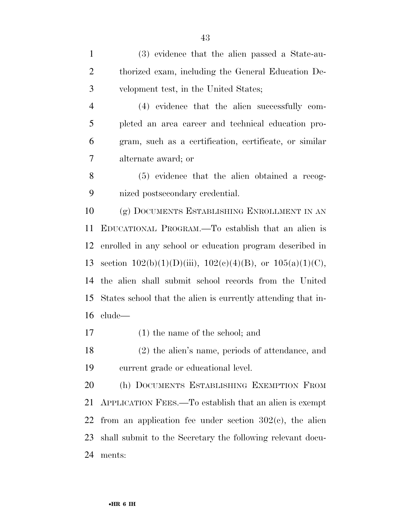(3) evidence that the alien passed a State-au- thorized exam, including the General Education De-velopment test, in the United States;

 (4) evidence that the alien successfully com- pleted an area career and technical education pro- gram, such as a certification, certificate, or similar alternate award; or

 (5) evidence that the alien obtained a recog-nized postsecondary credential.

 (g) DOCUMENTS ESTABLISHING ENROLLMENT IN AN EDUCATIONAL PROGRAM.—To establish that an alien is enrolled in any school or education program described in 13 section  $102(b)(1)(D)(iii)$ ,  $102(c)(4)(B)$ , or  $105(a)(1)(C)$ , the alien shall submit school records from the United States school that the alien is currently attending that in-clude—

(1) the name of the school; and

 (2) the alien's name, periods of attendance, and current grade or educational level.

 (h) DOCUMENTS ESTABLISHING EXEMPTION FROM APPLICATION FEES.—To establish that an alien is exempt 22 from an application fee under section  $302(c)$ , the alien shall submit to the Secretary the following relevant docu-ments: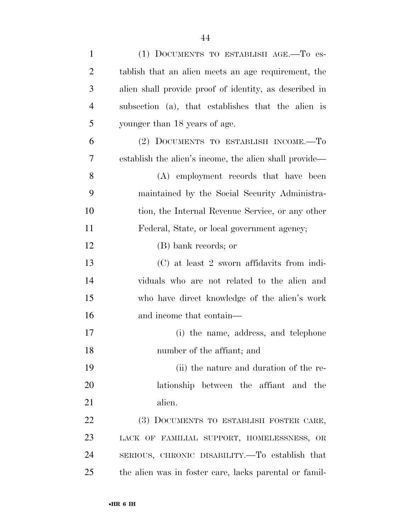| $\mathbf{1}$   | (1) DOCUMENTS TO ESTABLISH AGE.-To es-                 |
|----------------|--------------------------------------------------------|
| $\overline{2}$ | tablish that an alien meets an age requirement, the    |
| 3              | alien shall provide proof of identity, as described in |
| $\overline{4}$ | subsection (a), that establishes that the alien is     |
| 5              | younger than 18 years of age.                          |
| 6              | (2) DOCUMENTS TO ESTABLISH INCOME.-To                  |
| 7              | establish the alien's income, the alien shall provide— |
| 8              | (A) employment records that have been                  |
| 9              | maintained by the Social Security Administra-          |
| 10             | tion, the Internal Revenue Service, or any other       |
| 11             | Federal, State, or local government agency;            |
| 12             | (B) bank records; or                                   |
| 13             | (C) at least 2 sworn affidavits from indi-             |
| 14             | viduals who are not related to the alien and           |
| 15             | who have direct knowledge of the alien's work          |
| 16             | and income that contain—                               |
| 17             | (i) the name, address, and telephone                   |
| 18             | number of the affiant; and                             |
| 19             | (ii) the nature and duration of the re-                |
| 20             | lationship between the affiant and the                 |
| 21             | alien.                                                 |
| 22             | (3) DOCUMENTS TO ESTABLISH FOSTER CARE,                |
| 23             | LACK OF FAMILIAL SUPPORT, HOMELESSNESS, OR             |
| 24             | SERIOUS, CHRONIC DISABILITY. To establish that         |
| 25             | the alien was in foster care, lacks parental or famil- |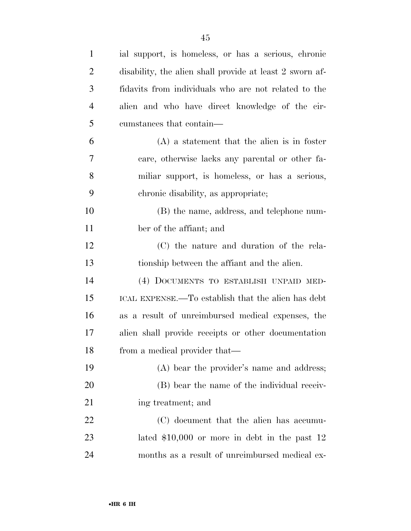| $\mathbf{1}$   | ial support, is homeless, or has a serious, chronic      |
|----------------|----------------------------------------------------------|
| $\overline{2}$ | disability, the alien shall provide at least 2 sworn af- |
| 3              | fidavits from individuals who are not related to the     |
| $\overline{4}$ | alien and who have direct knowledge of the cir-          |
| 5              | cumstances that contain—                                 |
| 6              | $(A)$ a statement that the alien is in foster            |
| 7              | care, otherwise lacks any parental or other fa-          |
| 8              | miliar support, is homeless, or has a serious,           |
| 9              | chronic disability, as appropriate;                      |
| 10             | (B) the name, address, and telephone num-                |
| 11             | ber of the affiant; and                                  |
| 12             | (C) the nature and duration of the rela-                 |
| 13             | tionship between the affiant and the alien.              |
| 14             | (4) DOCUMENTS TO ESTABLISH UNPAID MED-                   |
| 15             | ICAL EXPENSE.—To establish that the alien has debt       |
| 16             | as a result of unreimbursed medical expenses, the        |
| 17             | alien shall provide receipts or other documentation      |
| 18             | from a medical provider that—                            |
| 19             | (A) bear the provider's name and address;                |
| 20             | (B) bear the name of the individual receiv-              |
| 21             | ing treatment; and                                       |
| 22             | (C) document that the alien has accumu-                  |
| 23             | lated $$10,000$ or more in debt in the past 12           |
| 24             | months as a result of unreimbursed medical ex-           |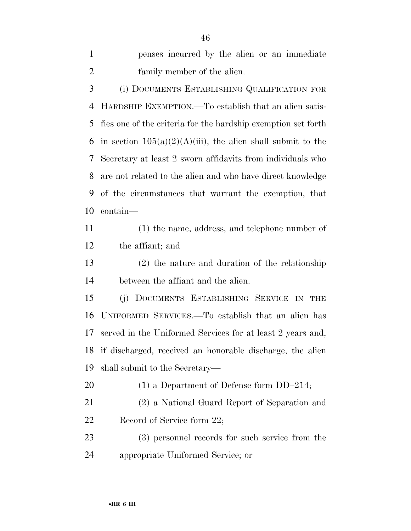penses incurred by the alien or an immediate family member of the alien. (i) DOCUMENTS ESTABLISHING QUALIFICATION FOR HARDSHIP EXEMPTION.—To establish that an alien satis- fies one of the criteria for the hardship exemption set forth 6 in section  $105(a)(2)(A)(iii)$ , the alien shall submit to the Secretary at least 2 sworn affidavits from individuals who are not related to the alien and who have direct knowledge of the circumstances that warrant the exemption, that contain— (1) the name, address, and telephone number of the affiant; and (2) the nature and duration of the relationship between the affiant and the alien. (j) DOCUMENTS ESTABLISHING SERVICE IN THE UNIFORMED SERVICES.—To establish that an alien has served in the Uniformed Services for at least 2 years and, if discharged, received an honorable discharge, the alien shall submit to the Secretary— 20 (1) a Department of Defense form DD–214; (2) a National Guard Report of Separation and 22 Record of Service form 22; (3) personnel records for such service from the

appropriate Uniformed Service; or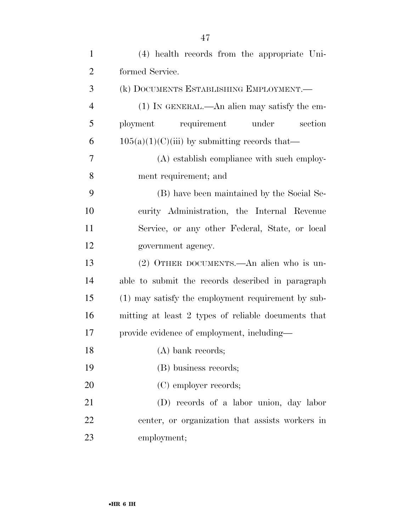| $\mathbf{1}$   | (4) health records from the appropriate Uni-        |
|----------------|-----------------------------------------------------|
| $\overline{2}$ | formed Service.                                     |
| 3              | (k) DOCUMENTS ESTABLISHING EMPLOYMENT.—             |
| $\overline{4}$ | (1) IN GENERAL.—An alien may satisfy the em-        |
| 5              | ployment<br>requirement<br>under<br>section         |
| 6              | $105(a)(1)(C)(iii)$ by submitting records that—     |
| 7              | (A) establish compliance with such employ-          |
| 8              | ment requirement; and                               |
| 9              | (B) have been maintained by the Social Se-          |
| 10             | curity Administration, the Internal Revenue         |
| 11             | Service, or any other Federal, State, or local      |
| 12             | government agency.                                  |
| 13             | (2) OTHER DOCUMENTS.—An alien who is un-            |
| 14             | able to submit the records described in paragraph   |
| 15             | (1) may satisfy the employment requirement by sub-  |
| 16             | mitting at least 2 types of reliable documents that |
| 17             | provide evidence of employment, including—          |
| 18             | $(A)$ bank records;                                 |
| 19             | (B) business records;                               |
| 20             | (C) employer records;                               |
| 21             | (D) records of a labor union, day labor             |
| 22             | center, or organization that assists workers in     |
| 23             | employment;                                         |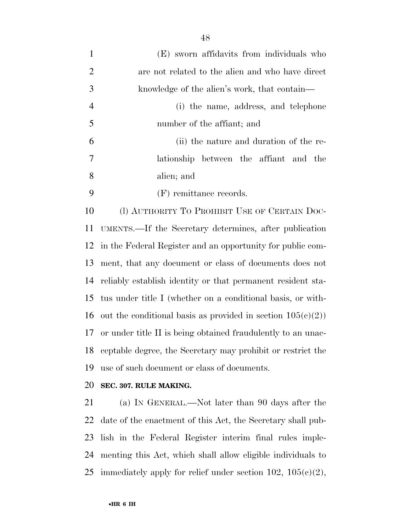| $\mathbf{1}$   | (E) sworn affidavits from individuals who                      |
|----------------|----------------------------------------------------------------|
| $\overline{2}$ | are not related to the alien and who have direct               |
| 3              | knowledge of the alien's work, that contain—                   |
| $\overline{4}$ | (i) the name, address, and telephone                           |
| 5              | number of the affiant; and                                     |
| 6              | (ii) the nature and duration of the re-                        |
| 7              | lationship between the affiant and the                         |
| 8              | alien; and                                                     |
| 9              | (F) remittance records.                                        |
| 10             | (l) AUTHORITY TO PROHIBIT USE OF CERTAIN DOC-                  |
| 11             | UMENTS.—If the Secretary determines, after publication         |
| 12             | in the Federal Register and an opportunity for public com-     |
| 13             | ment, that any document or class of documents does not         |
| 14             | reliably establish identity or that permanent resident sta-    |
| 15             | tus under title I (whether on a conditional basis, or with-    |
| 16             | out the conditional basis as provided in section $105(c)(2)$ ) |
| 17             | or under title II is being obtained fraudulently to an unac-   |
| 18             | ceptable degree, the Secretary may prohibit or restrict the    |
| 19             | use of such document or class of documents.                    |
|                |                                                                |

**SEC. 307. RULE MAKING.** 

 (a) IN GENERAL.—Not later than 90 days after the date of the enactment of this Act, the Secretary shall pub- lish in the Federal Register interim final rules imple- menting this Act, which shall allow eligible individuals to 25 immediately apply for relief under section 102,  $105(c)(2)$ ,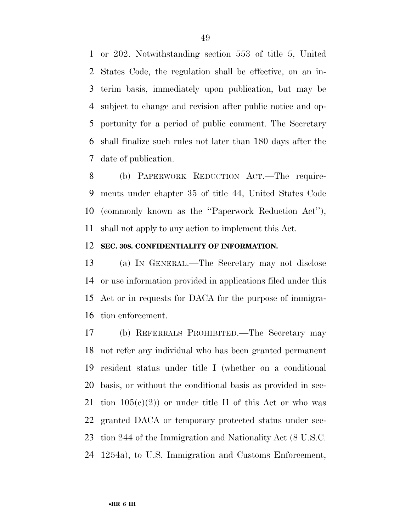or 202. Notwithstanding section 553 of title 5, United States Code, the regulation shall be effective, on an in- terim basis, immediately upon publication, but may be subject to change and revision after public notice and op- portunity for a period of public comment. The Secretary shall finalize such rules not later than 180 days after the date of publication.

 (b) PAPERWORK REDUCTION ACT.—The require- ments under chapter 35 of title 44, United States Code (commonly known as the ''Paperwork Reduction Act''), shall not apply to any action to implement this Act.

#### **SEC. 308. CONFIDENTIALITY OF INFORMATION.**

 (a) IN GENERAL.—The Secretary may not disclose or use information provided in applications filed under this Act or in requests for DACA for the purpose of immigra-tion enforcement.

 (b) REFERRALS PROHIBITED.—The Secretary may not refer any individual who has been granted permanent resident status under title I (whether on a conditional basis, or without the conditional basis as provided in sec-21 tion  $105(c)(2)$  or under title II of this Act or who was granted DACA or temporary protected status under sec- tion 244 of the Immigration and Nationality Act (8 U.S.C. 1254a), to U.S. Immigration and Customs Enforcement,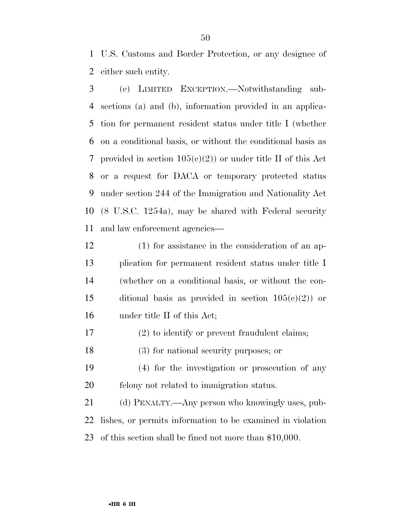U.S. Customs and Border Protection, or any designee of either such entity.

 (c) LIMITED EXCEPTION.—Notwithstanding sub- sections (a) and (b), information provided in an applica- tion for permanent resident status under title I (whether on a conditional basis, or without the conditional basis as 7 provided in section  $105(c)(2)$  or under title II of this Act or a request for DACA or temporary protected status under section 244 of the Immigration and Nationality Act (8 U.S.C. 1254a), may be shared with Federal security and law enforcement agencies—

 (1) for assistance in the consideration of an ap- plication for permanent resident status under title I (whether on a conditional basis, or without the con-15 ditional basis as provided in section  $105(c)(2)$  or under title II of this Act;

(2) to identify or prevent fraudulent claims;

(3) for national security purposes; or

 (4) for the investigation or prosecution of any felony not related to immigration status.

 (d) PENALTY.—Any person who knowingly uses, pub- lishes, or permits information to be examined in violation of this section shall be fined not more than \$10,000.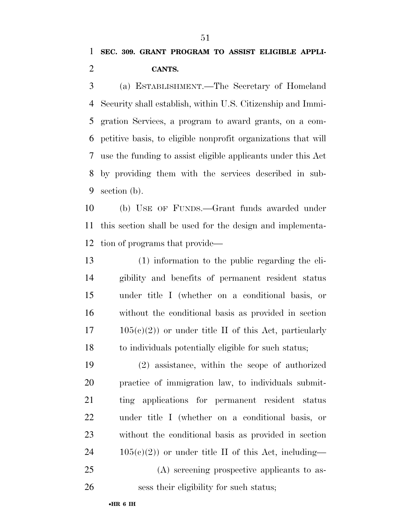(a) ESTABLISHMENT.—The Secretary of Homeland Security shall establish, within U.S. Citizenship and Immi- gration Services, a program to award grants, on a com- petitive basis, to eligible nonprofit organizations that will use the funding to assist eligible applicants under this Act by providing them with the services described in sub-section (b).

 (b) USE OF FUNDS.—Grant funds awarded under this section shall be used for the design and implementa-tion of programs that provide—

 (1) information to the public regarding the eli- gibility and benefits of permanent resident status under title I (whether on a conditional basis, or without the conditional basis as provided in section  $17 \qquad 105(e)(2)$  or under title II of this Act, particularly to individuals potentially eligible for such status;

 (2) assistance, within the scope of authorized practice of immigration law, to individuals submit- ting applications for permanent resident status under title I (whether on a conditional basis, or without the conditional basis as provided in section  $24 \t105(c)(2)$  or under title II of this Act, including— (A) screening prospective applicants to as-

sess their eligibility for such status;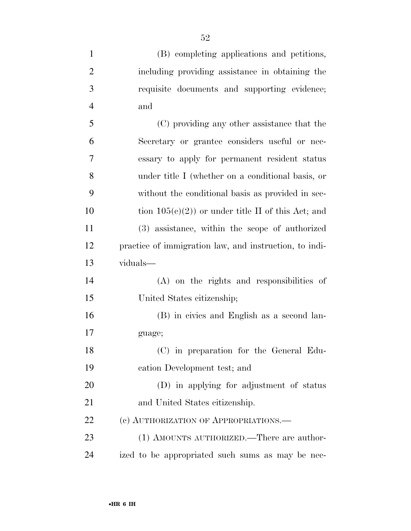| $\mathbf{1}$   | (B) completing applications and petitions,             |
|----------------|--------------------------------------------------------|
| $\overline{2}$ | including providing assistance in obtaining the        |
| 3              | requisite documents and supporting evidence;           |
| $\overline{4}$ | and                                                    |
| 5              | (C) providing any other assistance that the            |
| 6              | Secretary or grantee considers useful or nec-          |
| 7              | essary to apply for permanent resident status          |
| 8              | under title I (whether on a conditional basis, or      |
| 9              | without the conditional basis as provided in sec-      |
| 10             | tion $105(c)(2)$ or under title II of this Act; and    |
| 11             | (3) assistance, within the scope of authorized         |
| 12             | practice of immigration law, and instruction, to indi- |
|                |                                                        |
| 13             | viduals-                                               |
| 14             | (A) on the rights and responsibilities of              |
| 15             | United States citizenship;                             |
| 16             | (B) in civics and English as a second lan-             |
| 17             | guage;                                                 |
| 18             | (C) in preparation for the General Edu-                |
| 19             | cation Development test; and                           |
| 20             | (D) in applying for adjustment of status               |
| 21             | and United States citizenship.                         |
| 22             | (c) AUTHORIZATION OF APPROPRIATIONS.—                  |
| 23             | (1) AMOUNTS AUTHORIZED.—There are author-              |